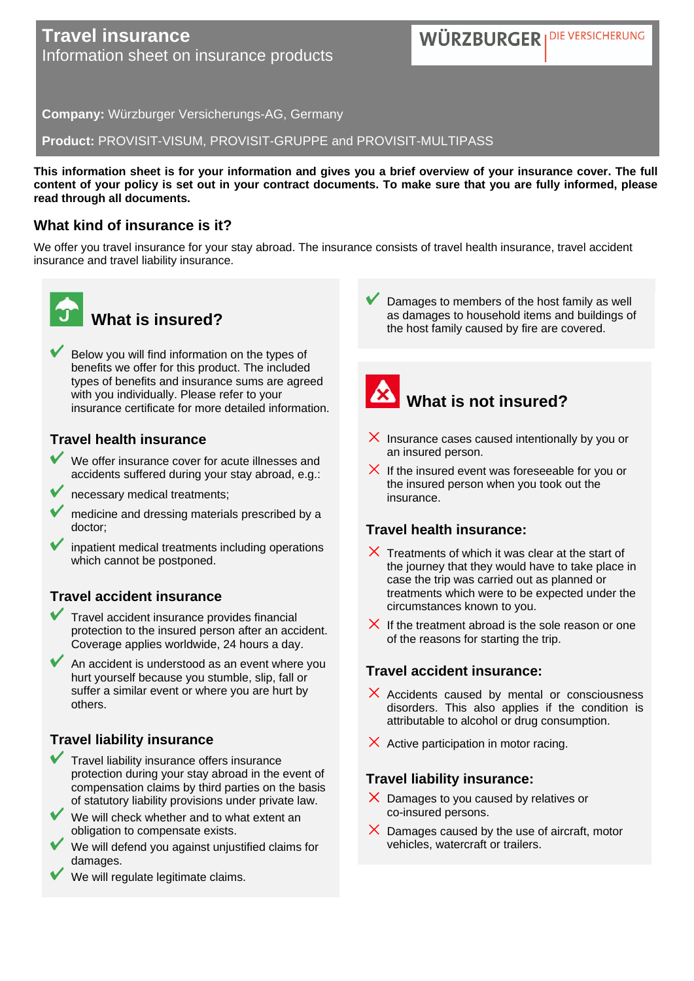### **Travel insurance** Information sheet on insurance products

WÜRZBURGER I DIE VERSICHERUNG

**Company:** Würzburger Versicherungs-AG, Germany

**Product:** PROVISIT-VISUM, PROVISIT-GRUPPE and PROVISIT-MULTIPASS

**This information sheet is for your information and gives you a brief overview of your insurance cover. The full content of your policy is set out in your contract documents. To make sure that you are fully informed, please read through all documents.**

#### **What kind of insurance is it?**

We offer you travel insurance for your stay abroad. The insurance consists of travel health insurance, travel accident insurance and travel liability insurance.



# **What is insured?**

Below you will find information on the types of benefits we offer for this product. The included types of benefits and insurance sums are agreed with you individually. Please refer to your insurance certificate for more detailed information.

#### **Travel health insurance**

- We offer insurance cover for acute illnesses and accidents suffered during your stay abroad, e.g.:
- necessary medical treatments;
- medicine and dressing materials prescribed by a doctor;
- inpatient medical treatments including operations which cannot be postponed.

#### **Travel accident insurance**

- Travel accident insurance provides financial protection to the insured person after an accident. Coverage applies worldwide, 24 hours a day.
- An accident is understood as an event where you hurt yourself because you stumble, slip, fall or suffer a similar event or where you are hurt by others.

#### **Travel liability insurance**

- Travel liability insurance offers insurance protection during your stay abroad in the event of compensation claims by third parties on the basis of statutory liability provisions under private law.
- We will check whether and to what extent an obligation to compensate exists.
- We will defend you against unjustified claims for damages.
- We will regulate legitimate claims.

Damages to members of the host family as well as damages to household items and buildings of the host family caused by fire are covered.

# **What is not insured?**

- $\times$  Insurance cases caused intentionally by you or an insured person.
- $\times$  If the insured event was foreseeable for you or the insured person when you took out the insurance.

### **Travel health insurance:**

- $\times$  Treatments of which it was clear at the start of the journey that they would have to take place in case the trip was carried out as planned or treatments which were to be expected under the circumstances known to you.
- $\times$  If the treatment abroad is the sole reason or one of the reasons for starting the trip.

#### **Travel accident insurance:**

- $\times$  Accidents caused by mental or consciousness disorders. This also applies if the condition is attributable to alcohol or drug consumption.
- $\times$  Active participation in motor racing.

#### **Travel liability insurance:**

- $\times$  Damages to you caused by relatives or co-insured persons.
- $\times$  Damages caused by the use of aircraft, motor vehicles, watercraft or trailers.